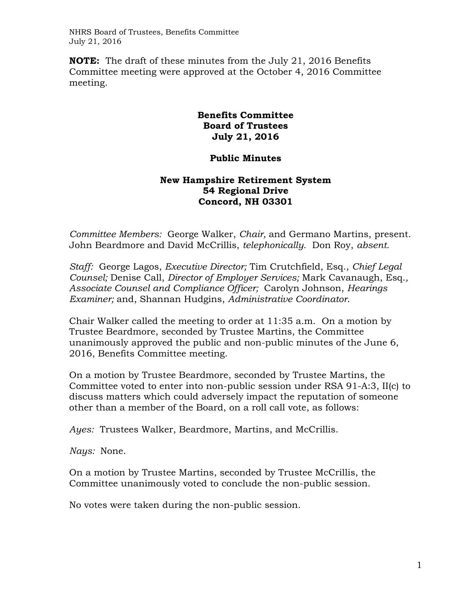NHRS Board of Trustees, Benefits Committee July 21, 2016

**NOTE:** The draft of these minutes from the July 21, 2016 Benefits Committee meeting were approved at the October 4, 2016 Committee meeting.

## **Benefits Committee Board of Trustees July 21, 2016**

## **Public Minutes**

## **New Hampshire Retirement System 54 Regional Drive Concord, NH 03301**

*Committee Members:* George Walker, *Chair,* and Germano Martins, present. John Beardmore and David McCrillis, *telephonically.* Don Roy, *absent.* 

*Staff:* George Lagos, *Executive Director;* Tim Crutchfield, Esq., *Chief Legal Counsel;* Denise Call, *Director of Employer Services;* Mark Cavanaugh, Esq.*, Associate Counsel and Compliance Officer;* Carolyn Johnson, *Hearings Examiner;* and, Shannan Hudgins, *Administrative Coordinator*.

Chair Walker called the meeting to order at 11:35 a.m. On a motion by Trustee Beardmore, seconded by Trustee Martins, the Committee unanimously approved the public and non-public minutes of the June 6, 2016, Benefits Committee meeting.

On a motion by Trustee Beardmore, seconded by Trustee Martins, the Committee voted to enter into non-public session under RSA 91-A:3, II(c) to discuss matters which could adversely impact the reputation of someone other than a member of the Board, on a roll call vote, as follows:

*Ayes:* Trustees Walker, Beardmore, Martins, and McCrillis.

*Nays:* None.

On a motion by Trustee Martins, seconded by Trustee McCrillis, the Committee unanimously voted to conclude the non-public session.

No votes were taken during the non-public session.